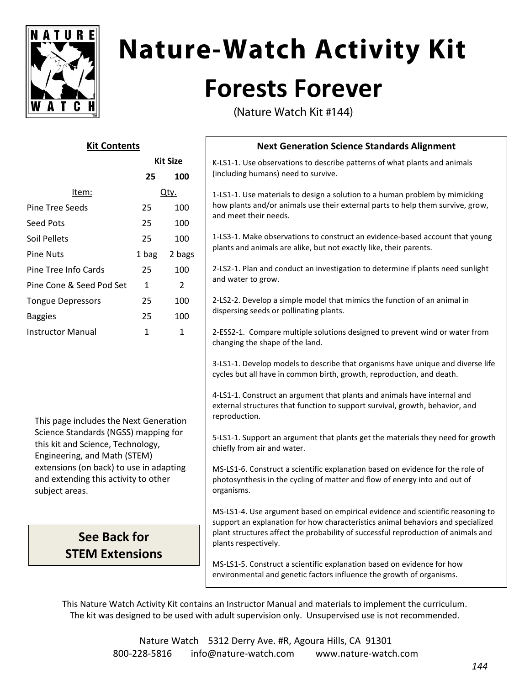

# **Nature-Watch Activity Kit**

## **Forests Forever**

(Nature Watch Kit #144)

#### **Kit Contents**

**Kit Size**

|                          | NIL JILE |               |
|--------------------------|----------|---------------|
|                          | 25       | 100           |
| ltem:                    | Qty.     |               |
| Pine Tree Seeds          | 25       | 100           |
| Seed Pots                | 25       | 100           |
| Soil Pellets             | 25       | 100           |
| <b>Pine Nuts</b>         | 1 bag    | 2 bags        |
| Pine Tree Info Cards     | 25       | 100           |
| Pine Cone & Seed Pod Set | 1        | $\mathcal{P}$ |
| <b>Tongue Depressors</b> | 25       | 100           |
| <b>Baggies</b>           | 25       | 100           |
| <b>Instructor Manual</b> | 1        | 1             |
|                          |          |               |

This page includes the Next Generation Science Standards (NGSS) mapping for this kit and Science, Technology, Engineering, and Math (STEM) extensions (on back) to use in adapting and extending this activity to other subject areas.

#### **See Back for STEM Extensions**

### **Next Generation Science Standards Alignment**

K-LS1-1. Use observations to describe patterns of what plants and animals (including humans) need to survive.

1-LS1-1. Use materials to design a solution to a human problem by mimicking how plants and/or animals use their external parts to help them survive, grow, and meet their needs.

1-LS3-1. Make observations to construct an evidence-based account that young plants and animals are alike, but not exactly like, their parents.

2-LS2-1. Plan and conduct an investigation to determine if plants need sunlight and water to grow.

2-LS2-2. Develop a simple model that mimics the function of an animal in dispersing seeds or pollinating plants.

2-ESS2-1. Compare multiple solutions designed to prevent wind or water from changing the shape of the land.

3-LS1-1. Develop models to describe that organisms have unique and diverse life cycles but all have in common birth, growth, reproduction, and death.

4-LS1-1. Construct an argument that plants and animals have internal and external structures that function to support survival, growth, behavior, and reproduction.

5-LS1-1. Support an argument that plants get the materials they need for growth chiefly from air and water.

MS-LS1-6. Construct a scientific explanation based on evidence for the role of photosynthesis in the cycling of matter and flow of energy into and out of organisms.

MS-LS1-4. Use argument based on empirical evidence and scientific reasoning to support an explanation for how characteristics animal behaviors and specialized plant structures affect the probability of successful reproduction of animals and plants respectively.

MS-LS1-5. Construct a scientific explanation based on evidence for how environmental and genetic factors influence the growth of organisms.

This Nature Watch Activity Kit contains an Instructor Manual and materials to implement the curriculum. The kit was designed to be used with adult supervision only. Unsupervised use is not recommended.